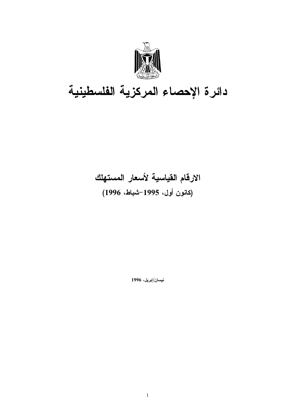

# دائرة الإحصاء المركزية الفلسطينية

# الارقام القياسية لأسعار المستهلك

(كانون أول، 1995–شباط، 1996)

نيسان/ابريل، 1996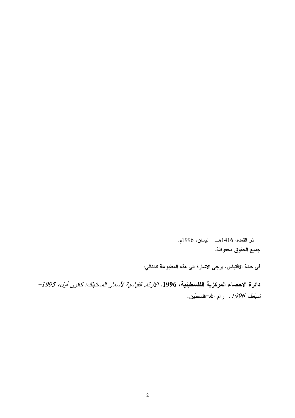© ذو القعدة، 1416هــ - نيسان، 1996م. جميع الحقوق محفوظة.

في حالة الاڤتباس، يرجى الاشارة الى هذه المطبوعة كالتالي:

دائرة الاحصاء المركزية الفلسطينية، 1996. *الارقام القياسية لأسعار المستهلك: كانون أول، 1995*– *شباط، 1996.* رام الله<del>-ف</del>لسطين.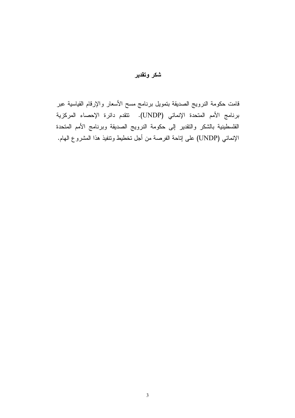# شكر وتقدير

قامت حكومة النرويج الصديقة بتمويل برنامج مسح الأسعار والإرقام القياسية عبر برنامج الأمم المتحدة الإنمائي (UNDP). تتقدم دائرة الإحصاء المركزية الفلسطينية بالشكر والنقدير إلى حكومة النرويج الصديقة وبرنامج الأمم المتحدة الإنمائي (UNDP) على إناحة الفرصة من أجل تخطيط ونتفيذ هذا المشروع الـهام.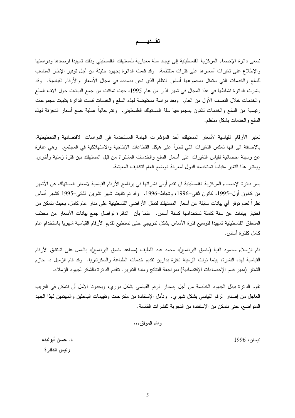#### تقـــديـــــــم

تسعى دائرة الإحصاء المركزية الفلسطينية إلى إيجاد سلة معيارية للمستهلك الفلسطيني وذلك تمهيدا لرصدها ودراستها والإطلاع على نغيرات أسعارها على فترات منتظمة. وقد قامت الدائرة بجهود حثيثة من أجل نوفير الإطار المناسب للسلع والخدمات التي ستمثل بمجموعها أساس النظام الذي نحن بصدده في مجال الأسعار والأرقام القياسية. وقد باشرت الدائرة نشاطها في هذا المجال في شهر آذار من عام 1995، حيث تمكنت من جمع البيانات حول آلاف السلع والخدمات خلال النصف الأول من العام. وبعد در اسة مستفيضة لهذه السلع والخدمات قامت الدائرة بتثبيت مجموعات رئيسية من السلع والخدمات لنكون بمجموعها سلة المستهلك الفلسطيني. ونتم حاليا عملية جمع أسعار التجزئة لمهذه السلع والخدمات بشكل منتظم.

تعتبر الأرقام القياسية لأسعار المستهلك أحد المؤشرات الهامة المستخدمة في الدراسات الاقتصادية والتخطيطية، بالإضافة الى انها تعكس التغيرات التي تطرأ على هيكل القطاعات الإنتاجية والاستهلاكية في المجتمع. وهي عبارة عن وسيلة احصائية لقياس التغيرات على أسعار السلع والخدمات المشتراة من قبل المستهلك بين فترة زمنية وأخرى. ويعتبر هذا التغير مقياساً تستخدمه الدول لمعرفة الوضع العام لتكاليف المعيشة.

يسر دائرة الإحصاء المركزية الفلسطينية ان تقدم أولى نشراتها في برنامج الأرقام القياسية لاسعار المستهلك عن الأشهر من كانون أول–1995، كانون ثاني–1996، وشباط–1996. وقد تم تثبيت شهر نشرين الثاني–1995 كشهر أساس نظراً لعدم توفر أي بيانات سابقة عن أسعار المستهلك لتمثل الأراضـي الفلسطينية على مدار عام كامل، بحيث نتمكن من اختيار بيانات عن سنة كاملة لستخدامها كسنة أساس. علما بأن الدائرة تواصل جمع بيانات الأسعار من مختلف المناطق الفلسطينية تمهيدا لتوسيع فترة الأساس بشكل تدريجي حتى نستطيع تقديم الأرقام القياسية شهريا باستخدام عام كامل كفتر ة أساس.

قام الزملاء محمود القية (منسق البرنامج)، محمد عبد اللطيف (مساعد منسق البرنامج)، بالعمل على اشتقاق الأرقام القياسية لهذه النشرة، بينما نولت الزميلة نافزة بدارين نقديم خدمات الطباعة والسكرتاريا. وقد قام الزميل د. حازم الشنار (مدير قسم الإحصاءات الإقتصادية) بمراجعة النتائج ومادة التقرير . تتقدم الدائرة بالشكر لجهود الزملاء.

تقوم الدائرة ببذل الجهود الخاصة من أجل إصدار الرقم القياسي يشكل دوري، ويحدونا الأمل أن نتمكن في القريب العاجل من إصدار الرقم القياسي بشكل شهري. ونأمل الإستفادة من مقترحات ونقييمات الباحثين والمهتمين لمهذا الجهد المتواضـع، حتى نتمكن من الإستفادة من التجربة للنشر ات القادمة.

و الله الموفق،،،

نىسان، 1996

د. حسن أبولبده رئيس الدائرة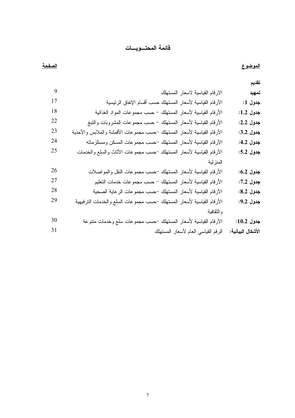# قائمة المحتسويسات

# ا<u>لصفحة</u>

# <u>الموضوع</u>

|    |                                                                         | تقديم             |
|----|-------------------------------------------------------------------------|-------------------|
| 9  | الارقام القياسية لاسعار المستهلك                                        | تمهيد             |
| 17 | الأرقام القياسية لأسعار المستهلك حسب أقسام الإنفاق الرئيسية             | جدول 1:           |
| 18 | الأرقام القياسية لأسعار المستهلك – حسب مجموعات المواد الغذائية          | جدول 1.2:         |
| 22 | الأرقام القياسية لأسعار المستهلك – حسب مجموعات المشروبات والتبغ         | جدول 2.2:         |
| 23 | الأرقام القياسية لأسعار المستهلك –حسب مجموعات الأقمشة والملابس والأحذية | جدول 3.2:         |
| 24 | الأرقام القياسية لأسعار المستهلك –حسب مجموعات المسكن ومستلزماته         | جدول 4.2:         |
| 25 | الأرقام القياسية لأسعار المستهلك –حسب مجموعات الأثاث والسلع والخدمات    | جدول 5.2:         |
|    | المنزلية                                                                |                   |
| 26 | الأرقام القياسية لأسعار المستهلك –حسب مجموعات النقل والمواصلات          | جدول 6.2:         |
| 27 | الأرقام القياسية لأسعار المستهلك – حسب مجموعات خدمات التعليم            | جدول 7.2:         |
| 28 | الأرقام القياسية لأسعار المستهلك –حسب مجموعات الرعاية الصحية            | جدول 8.2:         |
| 29 | الأرقام القياسية لأسعار المستهلك حسب مجموعات السلع والخدمات النزفيهية   | جدول 9.2:         |
|    | والنقافية                                                               |                   |
| 30 | الأرقام القياسية لأسعار المستهلك حمسب مجموعات سلع وخدمات منتوعة         | $:10.2$ جدول      |
| 31 | الرقم القياسي العام لأسعار المستهلك                                     | الأشكال البيانية: |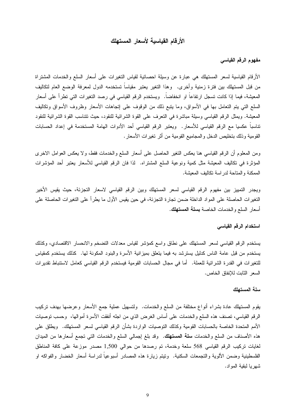# الأرقام القياسية لأسعار المستهلك

#### مفهوم الرقم القياسي

الأرقام القياسية لسعر المستهلك هي عبارة عن وسيلة احصائية لقياس التغيرات على أسعار السلع والخدمات المشتراة من قبل المستهلك بين فترة زمنية وأخرى. وهذا التغير يعتبر مقياساً تستخدمه الدول لمعرفة الوضع العام لتكاليف المعيشة، فيما إذا كانت تسجل ارتفاعاً او انخفاضاً. ويستخدم الرقم القياسي في رصد التغيرات التي تطرأ على أسعار السلع التي يتم التعامل بها في الأسواق، وما يتبع ذلك من الوقوف على إتجاهات الأسعار وظروف الأسواق وتكاليف المعيشة. ويمثِّل الرقم القياسي وسيلة مباشر ة في التعرف على القوة الشر ائية للنقود، حيث تتناسب القوة الشر ائية للنقود نتاسباً عكسيا مع الرقم القياسي للأسعار . ويعتبر الرقم القياسي أحد الأدوات الهامة المستخدمة في إعداد الحسابات القومية وذلك بتخليص الدخل والمجاميع القومية من أثر تغيرات الأسعار .

ومن المعلوم أن الرقم القياسي هنا يعكس النغير الحاصل على أسعار السلع والخدمات فقط، ولا يعكس العوامل الاخرى المؤثرة في تكاليف المعيشة مثل كمية ونوعية السلع المشتراه. لذا فان الرقم القياسي للأسعار يعتبر أحد المؤشرات الممكنة والمتاحة لدر اسة تكاليف المعشة.

ويجدر النمييز بين مفهوم الرقم القياسي لسعر المستهلك وبين الرقم القياسى لاسعار التجزئة، حيث يقيس الأخير النغير ات الحاصلة على المواد الداخلة ضمن تجار ة التجزئة، في حين يقيس الأول ما يطر أ على التغير ات الحاصلة على أسعار السلع والخدمات الخاصة بسلة المستهلك.

# استخدام الرقم القياسي

يستخدم الرقم القياسي لسعر المستهلك على نطاق واسع كمؤشر لقياس معدلات النضخم والانحسار الاقتصادي، وكذلك يستخدم من قبل عامة الناس كدليل يسترشد به فيما يتعلق بميزانية الأسرة والبنود المكونة لمها. كذلك يستخدم كمقياس للتغير ات في القدر ة الشر ائية للعملة. أما في مجال الحسابات القومية فيستخدم الرقم القياسي كعامل لاستنباط تقدير ات السعر الثابت للإنفاق الخاص.

#### سلة المستهلك

يقوم المستهلك عادة بشر اء أنواع مختلفة من السلع والخدمات. ولتسهيل عملية جمع الأسعار وعرضها بهدف تركيب الرقع القياسي، نصنف هذه السلع والخدمات على أساس الغرض الذي من اجله أنفقت الأسرة أموالها، وحسب نوصيات الأمم المتحدة الخاصة بالحسابات القومية وكذلك التوصيات الواردة بشأن الرقم القياسي لسعر المستهلك. ويطلق على هذه الأصناف من السلع والخدمات **سلة المستهلك.** وقد بلغ إجمالي السلع والخدمات التي تجمع أسعارها من الميدان لغايات نركيب الرقع القياسي 568 سلعة وخدمة، تم رصدها من حوالي 1,500 مصدر موزعة على كافة المناطق الفلسطينية وضمن الألوية والتجمعات السكنية. ونيتم زيارة هذه المصادر أسبوعياً لدراسة أسعار الخضار والفواكه او شهر يا لبقية المواد.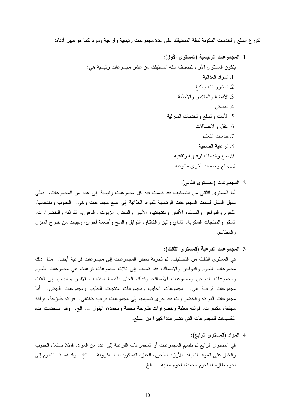تتوزع السلع والخدمات المكونة لسلة المستهلك على عدة مجموعات رئيسية وفرعية ومواد كما هو مبين أدناه:

- 1. المجموعات الرئيسية (المستوى الأول): يتكون المستوى الأول لتصنيف سلة المستهلك من عشر مجموعات رئيسية هي: 1. المو اد الغذائية 2. المشروبات والتبغ 3. الأقمشة والملابس والأحذية. 4. المسكن 5. الأثاث و السلع و الخدمات المنز لية 6. النقل والاتصالات 7. خدمات التعليم 8. الر عاية الصحية 9. سلع وخدمات تر فيهية وثقافية 10 سلع وخدمات أخرى منتوعة.
- 2. المجموعات (المستوى الثاني): أما المستوى الثاني من التصنيف فقد قسمت فيه كل مجمو عات ر ئيسية إلى عدد من المجمو عات. فعلى سبيل المثال قسمت المجموعات الرئيسية للمواد الغذائية إلى نسع مجموعات وهي: الحبوب ومنتجاتها، اللحوم والدواجن والسمك، الألبان ومنتجاتها، الألبان والبيض، الزيوت والدهون، الفواكه والخضراوات، السكر والمنتجات السكرية، الشاي والبن والكاكاو، النوابل والملح وأطعمة أخرى، وجبات من خارج المنزل والمطاعم.
	- 3. المجموعات الفرعية (المستوى الثالث):

في المستوى الثالث من التصنيف، تم تجزئة بعض المجموعات إلى مجموعات فرعية أيضا. مثال ذلك مجموعات اللحوم والدواجن والأسماك، فقد قسمت إلى ثلاث مجموعات فرعية، هي مجموعات اللحوم ومجموعات الدواجن ومجموعات الأسماك، وكذلك الحال بالنسبة لمنتجات الألبان والبيض إلى ثلاث مجموعات فرعية هي: مجموعات الحليب ومجموعات منتجات الحليب ومجموعات البيض. أما مجموعات الفواكه والخضر اوات فقد جرى نقسيمها إلى مجموعات فرعية كالنالي: فواكه طازجة، فواكه مجففة، مكسرات، فواكه معلَّبة وخضراوات طازجة مجففة ومجمدة، البقول … الخ. وقد استخدمت هذه التقسيمات للمجمو عات التي تضم عددا كبير ا من السلع.

4. المواد (المستوى الرابع): في المستوى الرابع تم تقسيم المجموعات أو المجموعات الفرعية إلى عدد من المواد، فمثلا تشتمل الحبوب والخبز على المواد التالية: الأرز ، الطحين، الخبز ، البسكويت، المعكرونة … الخ. وقد قسمت اللحوم إلى لحوم طازجة، لحوم مجمدة، لحوم معلبة ... الخ.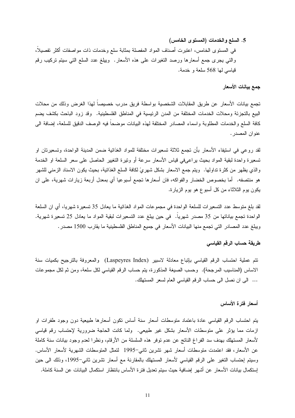5. السلع والخدمات (المستوى الخامس) في المستوى الخامس، اعتبرت أصناف المواد المفصلة بمثابة سلع وخدمات ذات مواصفات أكثر تفصيلاً، والتبي يجرى جمع أسعارها ورصد النغيرات على هذه الأسعار . ويبلغ عدد السلع التبي سيتم نركيب رقم قياسي لها 568 سلعة و خدمة.

جمع بيانات الأسعار

تجمع بيانات الأسعار عن طريق المقابلات الشخصية بواسطة فريق مدرب خصيصا لهذا الغرض وذلك من محلات البيع بالتجزئة ومحلات الخدمات المختلفة من المدن الرئيسية في المناطق الفلسطينية. وقد زود الباحث بكشف يضم كافة السلع والخدمات المطلوبة واسماء المصادر المختلفة لهذه البيانات موضحاً فيه الوصف الدقيق للسلعة، إضافة الى عنوان المصدر .

لقد روعي في استيفاء الأسعار بأن تجمع ثلاثة تسعيرات مختلفة للمواد الغذائية ضمن المدينة الواحدة، وتسعيرتان او تسعيرة واحدة لبقية المواد بحيث براعىفى قياس الأسعار سرعة أو ونيرة التغيير الحاصل على سعر السلعة او الخدمة والذي يظهر من كثرة نداولها. ويتم جمع الاسعار بشكل شهريً لكافة السلع الغذائية، بحيث يكون الاسناد الزمني للشهر هو منتصفه. أما بخصوص الخضار والفواكه، فان أسعارها نجمع أسبوعيا أي بمعدل أربعة زيارات شهرية، على ان يكون يوم الثلاثاء من كل أسبوع هو يوم الزيارة.

لقد بلغ منوسط عدد التسعيرات للسلعة الواحدة في مجموعات المواد الغذائية ما يعادل 35 تسعيرة شهريا، أي ان السلعة الواحدة تجمع بياناتها من 35 مصدر شهرياً. في حين يبلغ عدد التسعيرات لبقية المواد ما يعادل 25 تسعيرة شهرية. ويبلغ عدد المصادر التي تجمع منها البيانات الأسعار في جميع المناطق الفلسطينية ما يقارب 1500 مصدر .

#### طريقة حساب الرقم القياسي

نتم عملية احتساب الرقم القياسي بإتباع معادلة لاسبير (Laspeyres Index) والمعروفة بالترجيح بكميات سنة الاساس (المناسيب المرجحة). وحسب الصيغة المذكورة، يتم حساب الرقم القياسي لكل سلعة، ومن ثم لكل مجموعات ... الى ان نصل الى حساب الرقم القياسي العام لسعر المستهلك.

#### أسعار فترة الأساس

يتم احتساب الرقع القياسي عادة باعتماد متوسطات أسعار سنة أساس نكون أسعارها طبيعية دون وجود طفرات او ازمات مما يؤثر على منوسطات الأسعار بشكل غير طبيعي. ولما كانت الحاجة ضرورية لإحتساب رقم قياسي لأسعار المستهلك بهدف سد الفراغ الناتج عن عدم توفر هذه السلسلة من الأرقام، ونظرا لعدم وجود بيانات سنة كاملة عن الأسعار ، فقد اعتمدت متوسطات أسعار شهر تشرين ثاني-1995 لتمثل المتوسطات الشهرية لأسعار الأساس. وسيتم إحتساب النغير على الرقم القياسي لأسعار المستهلك بالمقارنة مع أسعار نشرين ثاني–1995، وذلك الى حين إستكمال بيانات الأسعار عن أشهر إضافية حيث سيتم تعديل فترة الأساس بانتظار استكمال البيانات عن السنة كاملة.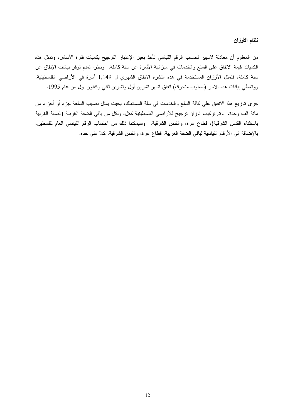نظام الأوزان

من المعلوم أن معادلة لاسبير لحساب الرقم القياسي تأخذ بعين الإعتبار الترجيح بكميات فترة الأساس، وتمثل هذه الكميات قيمة الانفاق على السلع والخدمات في ميزانية الأسرة عن سنة كاملة. ونظرا لعدم توفر بيانات الإنفاق عن سنة كاملة، فتمثّل الأوزان المستخدمة في هذه النشرة الانفاق الشهري ل 1,149 أسرة في الأراضـي الفلسطينية. ووتغطي بيانات هذه الاسر (باسلوب متحرك) انفاق اشهر تشرين أول ونتشرين ثانبي وكانون اول من عام 1995.

جرى نوزيع هذا الانفاق على كافة السلع والخدمات في سلة المستهلك، بحيث يمثل نصيب السلعة جزء أو أجزاء من مائة الف وحدة. وتم تركيب اوزان ترجيح للأراضي الفلسطينية ككل، ولكل من باقي الضفة الغربية (الضفة الغربية باستثناء القدس الشرقية)، قطاع غزة، والقدس الشرقية. وسيمكننا ذلك من احتساب الرقم القياسي العام لفلسطين، بالإضافة الى الأرقام القياسية لباقي الضفة الغربية، قطاع غزة، والقدس الشرقية، كلا على حده.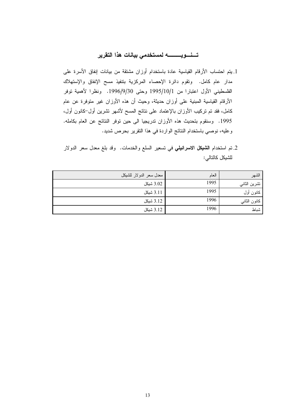# تسنسويسسسه لمستخدمى بيانات هذا التقرير

1. يتم احتساب الأرقام القياسية عادة باستخدام أوزان مشتقة من بيانات إنفاق الأسرة على مدار عام كامل. ونقوم دائرة الإحصاء المركزية بتنفيذ مسح الإنفاق والإستهلاك الفلسطيني الأول اعتبارا من 1995/10/1 وحتى 9/9/9/30. ونظرا لأهمية توفر الأرقام القياسية المبنية على أوزان حديثة، وحيث أن هذه الأوزان غير متوفرة عن عام كامل، فقد تم تركيب الأوزان بالإعتماد على نتائج المسح لأشهر تشرين أول–كانون أول، 1995. وسنقوم بتحديث هذه الأوزان ندريجيا الى حين نوفر النتائج عن العام بكامله. وعليه، نوصي باستخدام النتائج الواردة في هذا التقرير بحرص شديد.

2. تم استخدام الشيكل الاسرائيلي في تسعير السلع والخدمات. وقد بلغ معدل سعر الدولار للشيكل كالتالي:

| معدل سعر الدولار للشيكل | العام | الشهر        |
|-------------------------|-------|--------------|
| 3.02 شيكل               | 1995  | تشرين الثاني |
| 3.11 شيكل               | 1995  | كانون أول    |
| 3.12 شيكل               | 1996  | كانون الثاني |
| 3.12 شيكل               | 1996  | شباط         |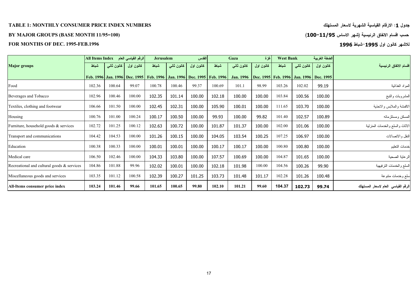#### **TABLE 1: MONTHLY CONSUMER PRICE INDEX NUMBERS**

#### BY MAJOR GROUPS (BASE MONTH 11/95=100)

#### FOR MONTHS OF DEC. 1995-FEB.1996

# جدول 1: الارقام القياسية الشهرية لاسعار المستهلك

حسب اقسام الالفاق الرئيسية (شهر الاساس 11/95=100)

للاشهر كانون اول 1995<sup>–</sup>شباط 1996

|                                            | <b>All Items Index</b> |            | الرقم القياسى العام | <b>Jerusalem</b>                                                      |            | القدس     |        | Gaza                                                      | غزة       | <b>West Bank</b> |            | الضفة الغربية |                                    |
|--------------------------------------------|------------------------|------------|---------------------|-----------------------------------------------------------------------|------------|-----------|--------|-----------------------------------------------------------|-----------|------------------|------------|---------------|------------------------------------|
| <b>Major groups</b>                        | شباط                   | كانون ثانى | كانون اول           | شباط                                                                  | كانون ثانى | كانون اول | شباط   | كانون ثانى                                                | كانون اول | شباط             | كانون ثانى | كانون اول     | قسام الالفاق الرئيسية              |
|                                            |                        |            |                     | Feb. 1996 Jan. 1996 Dec. 1995 Feb. 1996 Jan. 1996 Dec. 1995 Feb. 1996 |            |           |        | Jan. 1996   Dec. 1995   Feb. 1996   Jan. 1996   Dec. 1995 |           |                  |            |               |                                    |
| Food                                       | 102.36                 | 100.64     | 99.07               | 100.78                                                                | 100.46     | 99.37     | 100.69 | 101.1                                                     | 98.99     | 103.26           | 102.02     | 99.19         | لمواد الغذائية                     |
| Beverages and Tobacco                      | 102.96                 | 100.46     | 100.00              | 102.35                                                                | 101.14     | 100.00    | 102.18 | 100.00                                                    | 100.00    | 103.84           | 100.56     | 100.00        | لمشروبات والننبغ                   |
| Textiles, clothing and footwear            | 106.66                 | 101.50     | 100.00              | 102.45                                                                | 102.31     | 100.00    | 105.90 | 100.01                                                    | 100.00    | 111.65           | 103.70     | 100.00        | لاقمشة والملابس والاحذية           |
| Housing                                    | 100.76                 | 101.00     | 100.24              | 100.17                                                                | 100.50     | 100.00    | 99.93  | 100.00                                                    | 99.82     | 101.40           | 102.57     | 100.89        | لمسكن ومستلزماته                   |
| Furniture, household goods & services      | 102.72                 | 101.25     | 100.12              | 102.63                                                                | 100.72     | 100.00    | 101.87 | 101.37                                                    | 100.00    | 102.00           | 101.06     | 100.00        | لاثاث والسلع والخدمات المنزلية     |
| Transport and communications               | 104.42                 | 104.53     | 100.00              | 101.26                                                                | 100.15     | 100.00    | 104.05 | 103.54                                                    | 100.25    | 107.25           | 106.97     | 100.00        | نظل والاتصالات                     |
| Education                                  | 100.38                 | 100.33     | 100.00              | 100.01                                                                | 100.01     | 100.00    | 100.17 | 100.17                                                    | 100.00    | 100.80           | 100.80     | 100.00        | فدمات التعليم                      |
| Medical care                               | 106.50                 | 102.46     | 100.00              | 104.33                                                                | 103.80     | 100.00    | 107.57 | 100.69                                                    | 100.00    | 104.87           | 101.65     | 100.00        | ر عاية الصحية                      |
| Recreational and cultural goods & services | 104.86                 | 101.88     | 99.96               | 102.02                                                                | 100.01     | 100.00    | 102.18 | 101.98                                                    | 100.00    | 104.56           | 100.26     | 99.90         | سلع والخدمات النزفيهية             |
| Miscellaneous goods and services           | 103.35                 | 101.12     | 100.58              | 102.39                                                                | 100.27     | 101.25    | 103.73 | 101.48                                                    | 101.17    | 102.28           | 101.26     | 100.48        | ىلىع وخدمات منتوعة                 |
| All-Items consumer price index             | 103.24                 | 101.46     | 99.66               | 101.65                                                                | 100.65     | 99.80     | 102.10 | 101.21                                                    | 99.60     | 104.37           | 102.73     | 99.74         | لرقم القياسي العام لاسعار المستهلك |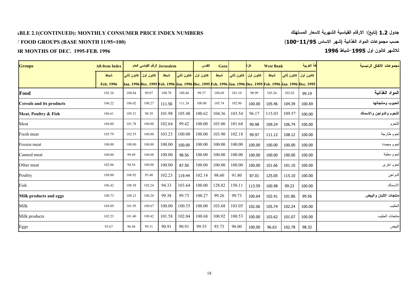# 7 FOOD GROUPS (BASE MONTH 11/95=100)

# **DR MONTHS OF DEC. 1995-FEB. 1996**

جدول 1.2 (تابع): الارقام القياسية الشهرية لاسعار المستهلك حسب مجموعات المواد الغذائية (شهر الاساس 11/95=100)

للاشهر كانون اول 1995<sup>–</sup>شباط 1996

| <b>Groups</b>            | <b>All-Item Index</b> |            | Jerusalem الرقم الفياسي العام                                                                                 |        |            | القدس<br>Gaza |        |            | غزة<br><b>West Bank</b> |        |            | فة الغربية | بجموعات الانفاق الرئيسية |
|--------------------------|-----------------------|------------|---------------------------------------------------------------------------------------------------------------|--------|------------|---------------|--------|------------|-------------------------|--------|------------|------------|--------------------------|
|                          | شباط                  | كانون ثاني | كانون أول                                                                                                     | شباط   | كانون ثاني | كانون أول     | شباط   | كانون ثاني | كانون أول               | شباط   | كانون ثاني | كانون أول  |                          |
|                          | Feb. 1996             |            | Jan. 1996 Dec. 1995 Feb. 1996 Jan. 1996 Dec. 1995 Feb. 1996 Jan. 1996 Dec. 1995 Feb. 1996 Jan. 1996 Dec. 1995 |        |            |               |        |            |                         |        |            |            |                          |
| Food                     | 102.36                | 100.64     | 99.07                                                                                                         | 100.78 | 100.46     | 99.37         | 100.69 | 101.10     | 98.99                   | 103.26 | 102.02     | 99.19      | المواد الغذائية          |
| Cereals and its products | 106.22                | 106.02     | 100.27                                                                                                        | 111.56 | 111.24     | 100.00        | 105.74 | 102.96     | 100.00                  | 105.46 | 104.39     | 100.69     | لحبوب ومنتجاتها          |
| Meat, Poultry & Fish     | 106.61                | 105.21     | 98.39                                                                                                         | 101.98 | 105.48     | 100.62        | 104.36 | 103.54     | 96.17                   | 115.03 | 109.57     | 100.00     | للحوم والدواجن والاسماك  |
| Meat                     | 104.80                | 101.78     | 100.00                                                                                                        | 102.64 | 99.42      | 100.00        | 103.00 | 101.68     | 99.98                   | 109.24 | 106.74     | 100.00     | للحوم                    |
| Fresh meat               | 105.79                | 102.55     | 100.00                                                                                                        | 103.23 | 100.00     | 100.00        | 103.90 | 102.18     | 99.97                   | 111.12 | 108.12     | 100.00     | حوم طازجة                |
| Frozen meat              | 100.00                | 100.00     | 100.00                                                                                                        | 100.00 | 100.00     | 100.00        | 100.00 | 100.00     | 100.00                  | 100.00 | 100.00     | 100.00     | حوم مجمدة                |
| Canned meat              | 100.00                | 99.49      | 100.00                                                                                                        | 100.00 | 98.56      | 100.00        | 100.00 | 100.00     | 100.00                  | 100.00 | 100.00     | 100.00     | حوم معلبة                |
| Other meat               | 102.06                | 94.54      | 100.00                                                                                                        | 100.00 | 87.50      | 100.00        | 100.00 | 100.00     | 100.00                  | 101.66 | 101.10     | 100.00     | حوم اخر ي                |
| Poultry                  | 109.00                | 108.92     | 95.48                                                                                                         | 102.23 | 119.44     | 102.14        | 98.60  | 91.80      | 87.01                   | 125.05 | 115.10     | 100.00     | لدواجن                   |
| Fish                     | 106.42                | 108.58     | 102.24                                                                                                        | 94.33  | 103.64     | 100.00        | 128.82 | 150.11     | 113.59                  | 100.98 | 99.23      | 100.00     | لاسماك                   |
| Milk products and eggs   | 100.73                | 100.23     | 100.20                                                                                                        | 99.38  | 99.73      | 100.27        | 99.26  | 99.73      | 100.64                  | 102.41 | 101.86     | 99.56      | ننتجات الالبان والبيض    |
| Milk                     | 104.89                | 101.95     | 100.67                                                                                                        | 100.00 | 100.35     | 100.00        | 103.68 | 103.05     | 102.06                  | 105.74 | 102.24     | 100.00     | لحليب                    |
| Milk products            | 102.23                | 101.40     | 100.42                                                                                                        | 101.58 | 102.04     | 100.68        | 100.92 | 100.53     | 100.00                  | 103.62 | 101.07     | 100.00     | ننجات الحليب             |
| Eggs                     | 93.67                 | 96.44      | 99.31                                                                                                         | 90.91  | 90.91      | 99.55         | 93.73  | 96.00      | 100.00                  | 96.63  | 102.78     | 98.32      | لبيض                     |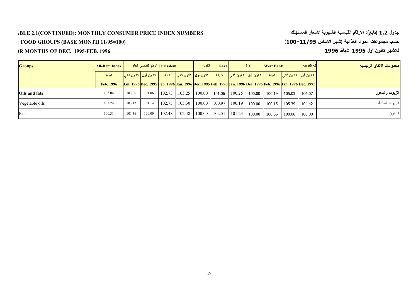# 7 FOOD GROUPS (BASE MONTH 11/95=100)

# **DR MONTHS OF DEC. 1995-FEB. 1996**

# جدول 1.2 (تابع): الارقام القياسية الشهرية لاسعار المستهلك حسب مجموعات المواد الغذائية (شهر الاساس 11/95=100)

| <b>Groups</b>  | <b>All-Item Index</b> |                                        |        | Jerusalem الرقم الفياسي العام |        | القدس                                                                                                         | Gaza   |        | غزة                  | <b>West Bank</b> |                       | فة الغربية | بجموعات الانفاق الرئيسية |
|----------------|-----------------------|----------------------------------------|--------|-------------------------------|--------|---------------------------------------------------------------------------------------------------------------|--------|--------|----------------------|------------------|-----------------------|------------|--------------------------|
|                | شباط                  | <mark>  كانون أول   كانون ثاني </mark> |        | شباط                          |        | <mark>ا كانون أول كانون ثاني</mark> ا                                                                         | شباط   |        | كانون أول كانون ثاني | شباط             | كانون أولى كانون ثاني |            |                          |
|                | Feb. 1996             |                                        |        |                               |        | Jan. 1996 Dec. 1995 Feb. 1996 Jan. 1996 Dec. 1995 Feb. 1996 Jan. 1996 Dec. 1995 Feb. 1996 Jan. 1996 Dec. 1995 |        |        |                      |                  |                       |            |                          |
| Oils and fats  | 103.04                | 103.00                                 | 101.06 | 102.73                        | 105.25 | 100.00                                                                                                        | 101.06 | 100.25 | 100.00               | 100.19           | 105.03                | 104.07     | لزيوت والدهون            |
| Vegetable oils | 103.24                | 103.12                                 | 101.14 | 102.73 105.30                 |        | 100.00                                                                                                        | 100.97 | 100.19 | 100.00               | 100.15           | 105.39                | 104.42     | لزيوت النباتية           |
| Fats           | 100.31                | 101.36                                 | 100.00 | 102.48                        | 102.48 | 100.00                                                                                                        | 102.51 | 101.23 | 100.00               | 100.66           | 100.66                | 100.00     | لدهون                    |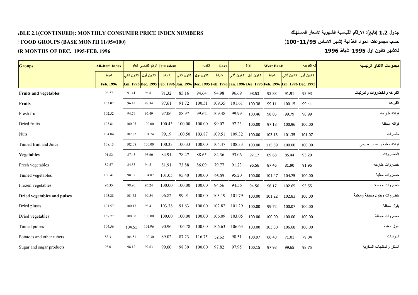# 7 FOOD GROUPS (BASE MONTH 11/95=100)

# **DR MONTHS OF DEC. 1995-FEB. 1996**

جدول 1.2 (تابع): الارقام القياسية الشهرية لاسعار المستهلك

حسب مجموعات المواد الغذائية (شهر الاساس 11/95=100)

| <b>Groups</b>                | <b>All-Item Index</b> |            | Jerusalem الرقم القياسي العام<br>كانون أول <mark>كانون ثاني</mark><br>كانون أول |        | القدس                                                                                                         | Gaza   |        | غزة        | <b>West Bank</b> |        | فة الغربية | مجموعات الانفاق الرئيسية |                             |
|------------------------------|-----------------------|------------|---------------------------------------------------------------------------------|--------|---------------------------------------------------------------------------------------------------------------|--------|--------|------------|------------------|--------|------------|--------------------------|-----------------------------|
|                              | شباط                  | كانون ثاني |                                                                                 | شباط   |                                                                                                               |        | شباط   | كانون ثاني | كانون أول        | شباط   | كانون ثاني | كانون أول                |                             |
|                              | Feb. 1996             |            |                                                                                 |        | Jan. 1996 Dec. 1995 Feb. 1996 Jan. 1996 Dec. 1995 Feb. 1996 Jan. 1996 Dec. 1995 Feb. 1996 Jan. 1996 Dec. 1995 |        |        |            |                  |        |            |                          |                             |
| <b>Fruits and vegetables</b> | 96.77                 | 91.41      | 96.81                                                                           | 91.32  | 85.16                                                                                                         | 94.64  | 94.98  | 96.69      | 98.53            | 93.83  | 91.91      | 95.93                    | الفواكه والخضروات والدرنيات |
| <b>Fruits</b>                | 103.02                | 96.43      | 98.34                                                                           | 97.61  | 91.72                                                                                                         | 100.51 | 109.35 | 101.61     | 100.38           | 99.11  | 100.15     | 99.41                    | الفو اكه                    |
| Fresh fruit                  | 102.52                | 94.79      | 97.49                                                                           | 97.06  | 88.97                                                                                                         | 99.62  | 109.48 | 99.99      | 100.46           | 98.05  | 99.79      | 98.99                    | فواكه طازجة                 |
| Dried fruits                 | 103.81                | 100.05     | 100.00                                                                          | 100.43 | 100.00                                                                                                        | 100.00 | 99.07  | 97.23      | 100.00           | 97.18  | 100.96     | 100.00                   | فواكه مجففة                 |
| <b>Nuts</b>                  | 104.84                | 102.82     | 101.74                                                                          | 99.19  | 100.50                                                                                                        | 103.87 | 109.51 | 109.32     | 100.00           | 103.13 | 101.35     | 101.07                   | مكسر ات                     |
| Tinned fruit and Juice       | 108.13                | 102.08     | 100.00                                                                          | 100.33 | 100.33                                                                                                        | 100.00 | 104.47 | 108.33     | 100.00           | 115.59 | 100.00     | 100.00                   | فواكه معلبة وعصير طبيعي     |
| <b>Vegetables</b>            | 91.82                 | 87.43      | 95.60                                                                           | 84.91  | 78.47                                                                                                         | 88.65  | 84.36  | 93.06      | 97.17            | 89.68  | 85.44      | 93.20                    | الخضر و ات                  |
| Fresh vegetables             | 89.57                 | 84.53      | 94.51                                                                           | 81.91  | 73.88                                                                                                         | 86.09  | 79.77  | 91.23      | 96.56            | 87.46  | 81.90      | 91.96                    | خضروات طازجة                |
| Tinned vegetables            | 100.41                | 98.32      | 104.87                                                                          | 101.05 | 95.40                                                                                                         | 100.00 | 96.09  | 95.20      | 100.00           | 101.47 | 104.75     | 100.00                   | خضروات معلبة                |
| Frozen vegetables            | 96.35                 | 98.90      | 95.24                                                                           | 100.00 | 100.00                                                                                                        | 100.00 | 94.56  | 94.56      | 94.56            | 96.17  | 102.65     | 93.55                    | خضروات مجمدة                |
| Dried vegetables and pulses  | 103.28                | 101.52     | 99.54                                                                           | 96.82  | 99.91                                                                                                         | 100.00 | 103.19 | 101.79     | 100.00           | 101.22 | 102.83     | 100.00                   | خضروات وبقول مجففة ومعلبة   |
| Dried pluses                 | 101.57                | 100.17     | 98.41                                                                           | 103.38 | 91.63                                                                                                         | 100.00 | 102.82 | 101.29     | 100.00           | 99.72  | 100.07     | 100.00                   | بقول مجففة                  |
| Dried vegetables             | 158.77                | 100.00     | 100.00                                                                          | 100.00 | 100.00                                                                                                        | 100.00 | 106.09 | 103.05     | 100.00           | 100.00 | 100.00     | 100.00                   | خضروات مجففة                |
| Tinned pulses                | 104.56                | 104.51     | 101.96                                                                          | 90.96  | 106.78                                                                                                        | 100.00 | 106.63 | 106.63     | 100.00           | 103.30 | 106.68     | 100.00                   | بقول معلبة                  |
| Potatoes and other tubers    | 83.31                 | 104.51     | 100.30                                                                          | 89.02  | 87.23                                                                                                         | 116.75 | 52.62  | 98.51      | 108.97           | 66.40  | 71.01      | 79.04                    | الدر نيات                   |
| Sugar and sugar products     | 98.01                 | 98.12      | 99.63                                                                           | 99.00  | 98.39                                                                                                         | 100.00 | 97.82  | 97.95      | 100.15           | 97.93  | 99.65      | 98.75                    | السكر والمنتجات السكرية     |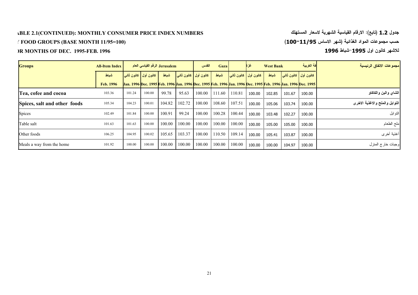# 7 FOOD GROUPS (BASE MONTH 11/95=100)

# **DR MONTHS OF DEC. 1995-FEB. 1996**

جدول 1.2 (تابع): الارقام القياسية الشهرية لاسعار المستهلك حسب مجموعات المواد الغذائية (شهر الاساس 11/95=100)

| <b>Groups</b>                | <b>All-Item Index</b> |        |                         | Jerusalem الرقم القياسي العام |        | القدس                                                                                                         | Gaza   |                                     | غزة    | <b>West Bank</b> |        | فة الغربية           | مجموعات الانفاق الرئيسية       |
|------------------------------|-----------------------|--------|-------------------------|-------------------------------|--------|---------------------------------------------------------------------------------------------------------------|--------|-------------------------------------|--------|------------------|--------|----------------------|--------------------------------|
|                              | شباط                  |        | كانون أولى   كانون ثاني | شباط                          |        | ⊤ كانون أول <mark>  كانون ثاني</mark> <mark> </mark>                                                          | شباط   | كانون أول <mark>  كانون ثاني</mark> |        | اشباط            |        | كانون أول كانون ثاني |                                |
|                              | Feb. 1996             |        |                         |                               |        | Jan. 1996 Dec. 1995 Feb. 1996 Jan. 1996 Dec. 1995 Feb. 1996 Jan. 1996 Dec. 1995 Feb. 1996 Jan. 1996 Dec. 1995 |        |                                     |        |                  |        |                      |                                |
| Tea, cofee and cocoa         | 103.36                | 101.24 | 100.00                  | 99.78                         | 95.63  | 100.00                                                                                                        | 111.60 | 110.81                              | 100.00 | 102.85           | 101.67 | 100.00               | الشاى والبن والكاكاو           |
| Spices, salt and other foods | 105.34                | 104.23 | 100.01                  | 104.82                        | 102.72 | 100.00                                                                                                        | 108.60 | 107.51                              | 100.00 | 105.06           | 103.74 | 100.00               | النوابل والملح والاغذية الاخرى |
| Spices                       | 102.49                | 101.84 | 100.00                  | 100.91                        | 99.24  | 100.00                                                                                                        | 100.28 | 100.44                              | 100.00 | 103.48           | 102.27 | 100.00               | لتو ابل                        |
| Table salt                   | 101.63                | 101.63 | 100.00                  | 100.00                        | 100.00 | 100.00                                                                                                        | 100.00 | 100.00                              | 100.00 | 105.00           | 105.00 | 100.00               | ملح الطعام                     |
| Other foods                  | 106.25                | 104.95 | 100.02                  | 105.65                        | 103.37 | 100.00                                                                                                        | 110.50 | 109.14                              | 100.00 | 105.41           | 103.87 | 100.00               | أغذية أخرى                     |
| Meals a way from the home    | 101.92                | 100.00 | 100.00                  | 100.00                        | 100.00 | 100.00                                                                                                        | 100.00 | 100.00                              | 100.00 | 100.00           | 104.97 | 100.00               | رجبات خارج المنزل              |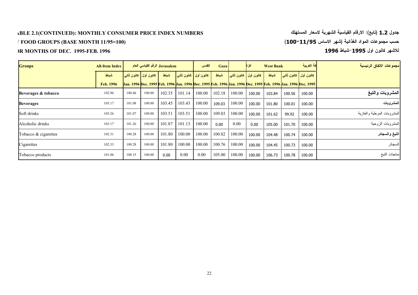# 7 FOOD GROUPS (BASE MONTH 11/95=100)

# **DR MONTHS OF DEC. 1995-FEB. 1996**

جدول 1.2 (تابع): الارقام القياسية الشهرية لاسعار المستهلك حسب مجموعات المواد الغذائية (شهر الاساس 11/95=100)

| <b>Groups</b>        | <b>All-Item Index</b> | Jerusalem الرقم الفياسي العام |                        |        |        |                        | القدس<br><b>Gaza</b> |        |                        | <b>West Bank</b> |                                   | فة الغربية                                                                                                    | مجموعات الانفاق الرئيسية  |
|----------------------|-----------------------|-------------------------------|------------------------|--------|--------|------------------------|----------------------|--------|------------------------|------------------|-----------------------------------|---------------------------------------------------------------------------------------------------------------|---------------------------|
|                      | شباط                  |                               | كانون أول   كانون ثاني | شباط   |        | كانون أول   كانون ثاني | شباط                 |        | كانون أول   كانون ثاني | شباط             | كانون أول <mark>كانون ثاني</mark> |                                                                                                               |                           |
|                      | Feb. 1996             |                               |                        |        |        |                        |                      |        |                        |                  |                                   | Jan. 1996 Dec. 1995 Feb. 1996 Jan. 1996 Dec. 1995 Feb. 1996 Jan. 1996 Dec. 1995 Feb. 1996 Jan. 1996 Dec. 1995 |                           |
| Beverages & tobacco  | 102.96                | 100.46                        | 100.00                 | 102.35 | 101.14 | 100.00                 | 102.18               | 100.00 | 100.00                 | 103.84           | 100.56                            | 100.00                                                                                                        | المشروبات والتبغ          |
| <b>Beverages</b>     | 105.17                | 101.08                        | 100.00                 | 103.45 | 103.43 | 100.00                 | 109.03               | 100.00 | 100.00                 | 101.80           | 100.01                            | 100.00                                                                                                        | المشروبات                 |
| Soft drinks          | 105.26                | 101.07                        | 100.00                 | 103.51 | 103.51 | 100.00                 | 109.03               | 100.00 | 100.00                 | 101.62           | 99.92                             | 100.00                                                                                                        | لمشروبات المرطبة والغازية |
| Alcoholic drinks     | 103.17                | 101.26                        | 100.00                 | 101.87 | 101.13 | 100.00                 | 0.00                 | 0.00   | 0.00                   | 105.00           | 101.70                            | 100.00                                                                                                        | لمشروبات الروحية          |
| Tobacco & cigarettes | 102.31                | 100.28                        | 100.00                 | 101.80 | 100.00 | 100.00                 | 100.82               | 100.00 | 100.00                 | 104.48           | 100.74                            | 100.00                                                                                                        | التبغ والسجائر            |
| Cigarettes           | 102.33                | 100.28                        | 100.00                 | 101.80 | 100.00 | 100.00                 | 100.76               | 100.00 | 100.00                 | 104.45           | 100.73                            | 100.00                                                                                                        | لسجائر                    |
| Tobacco products     | 101.06                | 100.15                        | 100.00                 | 0.00   | 0.00   | 0.00                   | 105.00               | 100.00 | 100.00                 | 106.73           | 100.78                            | 100.00                                                                                                        | منتجات النبغ              |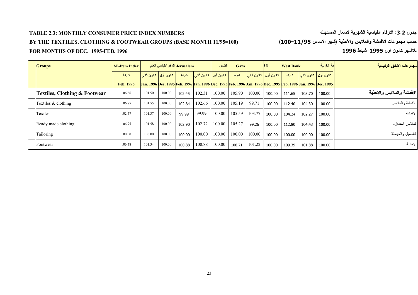# **TABLE 2.3: MONTHLY CONSUMER PRICE INDEX NUMBERS**

#### BY THE TEXTILES, CLOTHING & FOOTWEAR GROUPS (BASE MONTH 11/95=100)

# جدول 3.2: الارقام القياسية الشهرية لاسعار المستهلك

حسب مجموعات الأقمشة والملابس والأحذية (شهر الاساس 11/95=100)

# FOR MONTHS OF DEC. 1995-FEB. 1996

| <b>Groups</b>                            | <b>All-Item Index</b> |                                                                                                               | Jerusalem الرقم القياسي العام |        |                      | القدس<br>Gaza |        | غزة<br><b>West Bank</b> |        | فة الغربية |                        | جموعات الانفاق الرئيسية |                          |
|------------------------------------------|-----------------------|---------------------------------------------------------------------------------------------------------------|-------------------------------|--------|----------------------|---------------|--------|-------------------------|--------|------------|------------------------|-------------------------|--------------------------|
|                                          | شباط                  | كانون أولى   كانون ثاني                                                                                       |                               | شباط   | كانون أول كانون ثاني |               | شباط   | كانون أول   كانون ثاني  |        | شباط       | كانون أول   كانون ثاني |                         |                          |
|                                          | Feb. 1996             | Jan. 1996 Dec. 1995 Feb. 1996 Jan. 1996 Dec. 1995 Feb. 1996 Jan. 1996 Dec. 1995 Feb. 1996 Jan. 1996 Dec. 1995 |                               |        |                      |               |        |                         |        |            |                        |                         |                          |
| <b>Textiles, Clothing &amp; Footwear</b> | 106.66                | 101.50                                                                                                        | 100.00                        | 102.45 | 102.31               | 100.00        | 105.90 | 100.00                  | 100.00 | 111.65     | 103.70                 | 100.00                  | لاقمشة والملابس والاحذية |
| Textiles & clothing                      | 106.75                | 101.55                                                                                                        | 100.00                        | 102.84 | 102.66               | 100.00        | 105.19 | 99.71                   | 100.00 | 112.40     | 104.30                 | 100.00                  | لاقمشة والملابس          |
| Texiles                                  | 102.57                | 101.37                                                                                                        | 100.00                        | 99.99  | 99.99                | 100.00        | 105.59 | 103.77                  | 100.00 | 104.24     | 102.27                 | 100.00                  | لاقمشة                   |
| Ready made clothing                      | 106.95                | 101.58                                                                                                        | 100.00                        | 102.90 | 102.72               | 100.00        | 105.27 | 99.26                   | 100.00 | 112.80     | 104.43                 | 100.00                  | لملابس الجاهز ة          |
| Tailoring                                | 100.00                | 100.00                                                                                                        | 100.00                        | 100.00 | 100.00               | 100.00        | 100.00 | 100.00                  | 100.00 | 100.00     | 100.00                 | 100.00                  | لتفصيل والخياطة          |
| Footwear                                 | 106.38                | 101.34                                                                                                        | 100.00                        | 100.88 | 100.88               | 100.00        | 108.71 | 101.22                  | 100.00 | 109.39     | 101.88                 | 100.00                  | لاحذبة                   |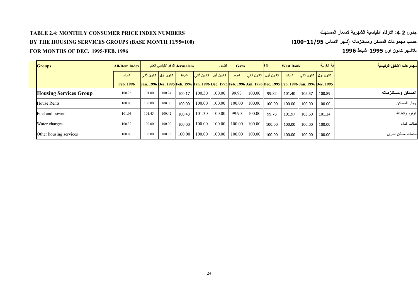# **TABLE 2.4: MONTHLY CONSUMER PRICE INDEX NUMBERS** BY THE HOUSING SERVICES GROUPS (BASE MONTH 11/95=100) FOR MONTHS OF DEC. 1995-FEB. 1996

جدول 4.2: الارقام القياسية الشهرية لاسعار المستهلك

حسب مجموعات المسكن ومستلزماته (شهر الاساس 11/95=100)

للاشهر كانون اول 1995<sup>-</sup>شباط 1996

| <b>Groups</b>                 | <b>All-Item Index</b> |                        |        | Jerusalem الرقم القياسي العام |        | القدس                                                                                                         | Gaza   |        | غزة                                                 | <b>West Bank</b> |        | فة الغربية                  | بجموعات الانفاق الرئيسية |
|-------------------------------|-----------------------|------------------------|--------|-------------------------------|--------|---------------------------------------------------------------------------------------------------------------|--------|--------|-----------------------------------------------------|------------------|--------|-----------------------------|--------------------------|
|                               | شباط                  | كانون أول   كانون ثاني |        | شباط                          |        | <b>کانون اُول کانون ثانی</b>                                                                                  | شباط   |        | <mark>، كانون أول </mark> كانون ثاني <mark>.</mark> | شباط             |        | <b>کانون اول کانون ثانی</b> |                          |
|                               | Feb. 1996             |                        |        |                               |        | Jan. 1996 Dec. 1995 Feb. 1996 Jan. 1996 Dec. 1995 Feb. 1996 Jan. 1996 Dec. 1995 Feb. 1996 Jan. 1996 Dec. 1995 |        |        |                                                     |                  |        |                             |                          |
| <b>Housing Services Group</b> | 100.76                | 101.00                 | 100.24 | 100.17                        | 100.50 | 100.00                                                                                                        | 99.93  | 100.00 | 99.82                                               | 101.40           | 102.57 | 100.89                      | المسكن ومستلزماته        |
| <b>House Rents</b>            | 100.00                | 100.00                 | 100.00 | 100.00                        | 100.00 | 100.00                                                                                                        | 100.00 | 100.00 | 100.00                                              | 100.00           | 100.00 | 100.00                      | يجار المساكن             |
| Fuel and power                | 101.03                | 101.45                 | 100.42 | 100.43                        | 101.30 | 100.00                                                                                                        | 99.90  | 100.00 | 99.76                                               | 101.97           | 103.60 | 101.24                      | لوقود والطاقة            |
| Water charges                 | 100.32                | 100.00                 | 100.00 | 100.00                        | 100.00 | 100.00                                                                                                        | 100.00 | 100.00 | 100.00                                              | 100.00           | 100.00 | 100.00                      | فقات الماء               |
| Other housing services        | 100.00                | 100.00                 | 100.35 | 100.00                        | 100.00 | 100.00                                                                                                        | 100.00 | 100.00 | 100.00                                              | 100.00           | 100.00 | 100.00                      | خدمات مسکن اخر ی         |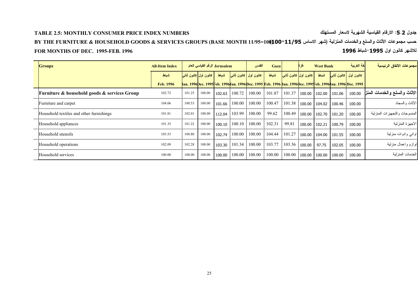#### **TABLE 2.5: MONTHLY CONSUMER PRICE INDEX NUMBERS**

# جدول 5.2: الارقام القياسية الشهرية لاسعار المستهلك

#### حسب مجموعات الأثاث والسلع والخدمات المنزلية (شهر الاساس 11/95=100\$ THE FURNITURE & HOUSEHOLD GOODS & SERVICES GROUPS (BASE MONTH 11/95=100) FOR MONTHS OF DEC. 1995-FEB. 1996 للاشهر كانون اول 1995–شباط 1996

| <b>Groups</b>                                | <b>All-Item Index</b> |        | Jerusalem الرقم القياسي العام       |        |                      | القدس<br>Gaza |        |                                               | غزة    | <b>West Bank</b> |        | غة الغربية                                                                                              | مجموعات الانفاق الرئيسية      |
|----------------------------------------------|-----------------------|--------|-------------------------------------|--------|----------------------|---------------|--------|-----------------------------------------------|--------|------------------|--------|---------------------------------------------------------------------------------------------------------|-------------------------------|
|                                              | شباط                  |        | ِ كانون أول <mark>كانون ثاني</mark> | شباط   | كانون أول كانون ثانى |               | شباط   | <mark>  كانون أول</mark>   كانون ثان <i>ى</i> |        | شباط             |        | كانون أول   كانون ثاني                                                                                  |                               |
|                                              | Feb. 1996             |        |                                     |        |                      |               |        |                                               |        |                  |        | Jan. 1996þec. 1995Feb. 1996Jan. 1996 þec. 1995 Feb. 1996 Jan. 1996þec. 1995Feb. 1996Jan. 1996 þec. 1995 |                               |
| Furniture & household goods & services Group | 102.72                | 101.25 | 100.00                              | 102.63 | 100.72               | 100.00        | 101.87 | 101.37                                        | 100.00 | 102.00           | 101.06 | 100.00                                                                                                  | الاثاث والسلع والخدمات المنز  |
| Furniture and carpet                         | 104.06                | 100.53 | 100.00                              | 101.66 | 100.00               | 100.00        | 100.47 | 101.38                                        | 100.00 | 104.02           | 100.46 | 100.00                                                                                                  | الأثاث والسجاد                |
| Household textiles and other furnishings     | 101.81                | 102.01 | 100.00                              | 112.04 | 103.99               | 100.00        | 99.62  | 100.49                                        | 100.00 | 102.70           | 101.20 | 100.00                                                                                                  | المنسوجات والتجهيزات المنزلية |
| Household appliances                         | 101.35                | 101.22 | 100.00                              | 100.10 | 100.10               | 100.00        | 102.31 | 99.81                                         | 100.00 | 102.21           | 100.79 | 100.00                                                                                                  | الاجهز ة المنزلية             |
| Household utensils                           | 103.53                | 100.80 | 100.00                              | 102.74 | 100.00               | 100.00        | 104.44 | 101.27                                        | 100.00 | 104.00           | 101.55 | 100.00                                                                                                  | اوانبي وادوات منزلية          |
| Household operations                         | 102.09                | 102.28 | 100.00                              | 103.30 | 101.34               | 100.00        | 103.77 | 103.36                                        | 100.00 | 97.75            | 102.05 | 100.00                                                                                                  | لموازم واعمال منزلية          |
| Household services                           | 100.00                | 100.00 | 100.00                              | 100.00 | 100.00               | 100.00        | 100.00 | 100.00                                        | 100.00 | 100.00           | 100.00 | 100.00                                                                                                  | الخدمات المنز لية             |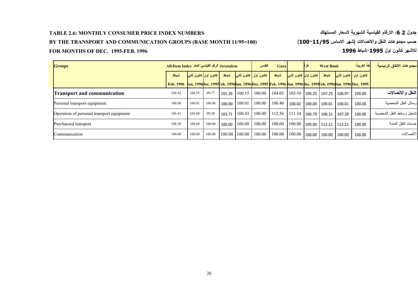# **TABLE 2.6: MONTHLY CONSUMER PRICE INDEX NUMBERS** BY THE TRANSPORT AND COMMUNICATION GROUPS (BASE MONTH 11/95=100)  $E(X)$  is  $\sum_{i=1}^{n} (X_i - \sum_{i=1}^{n} X_i)^2$

# جدول 6.2: الارقام القياسية الشهرية لاسعار المستهلك

حسب مجموعات النقل والاتصالات (شهر الاساس 11/95=100)

| <b>FOR MONTHS OF DEC. 1995-FEB. 1996</b> |  |
|------------------------------------------|--|
|                                          |  |

| <b>Groups</b>                             | Jerusalem الرقم القياسي العام All-Item Index                                                                       |                                   |        |        |                 | القدس<br>Gaza                         |                               |                                             | فحة الغربية<br>غزة<br><b>West Bank</b> |      |        |                                   | مجموعات الانفاق الرئيسية   |
|-------------------------------------------|--------------------------------------------------------------------------------------------------------------------|-----------------------------------|--------|--------|-----------------|---------------------------------------|-------------------------------|---------------------------------------------|----------------------------------------|------|--------|-----------------------------------|----------------------------|
|                                           | شباط                                                                                                               | كانون أول <mark>كانون ثاني</mark> |        | شباط   |                 | ً كانون أول <mark>كانون ثاني</mark> ً | شباط                          | كانون أول <mark> </mark> كانون ثان <i>ى</i> |                                        | شباط |        | كانون أول <mark>كانون ثاني</mark> |                            |
|                                           | Feb. 1996   Jan. 1996Dec. 1995Feb. 1996Jan. 1996Dec. 1995 Feb. 1996 Jan. 1996Dec. 1995Feb. 1996Jan. 1996 Dec. 1995 |                                   |        |        |                 |                                       |                               |                                             |                                        |      |        |                                   |                            |
| <b>Transport and communication</b>        | 104.42                                                                                                             | 104.55                            | 99.77  |        | $101.26$ 100.15 | 100.00                                | 104.05                        | 103.54                                      | 100.25 107.25                          |      | 106.97 | 100.00                            | النقل والاتصالات           |
| Personal transport equipment              | 100.08                                                                                                             | 100.01                            | 100.00 | 100.00 | 100.01          | 100.00                                | 100.40                        | 100.02                                      | 100.00 100.01                          |      | 100.01 | 100.00                            | وسائل النقل الشخصية        |
| Operation of personal transport equipment | 105.41                                                                                                             | 105.80                            | 99.28  | 103.71 | 100.43          | 100.00                                | $112.56$ 111.34 100.79 108.31 |                                             |                                        |      | 107.39 | 100.00                            | نتشغبل وسائط النقل الشخصبة |
| Purchaesed transport                      | 108.50                                                                                                             | 108.68                            | 100.00 | 100.00 | 100.00          | 100.00                                | 100.00                        | 100.00                                      | 100.00 112.21                          |      | 112.21 | 100.00                            | خدمات النقل العامة         |
| Communication                             | 100.00                                                                                                             | 100.00                            | 100.00 |        | 100.00 100.00   | 100.00                                | 100.00                        | 100.00                                      | 100.00 100.00                          |      | 100.00 | 100.00                            | الاتصالات                  |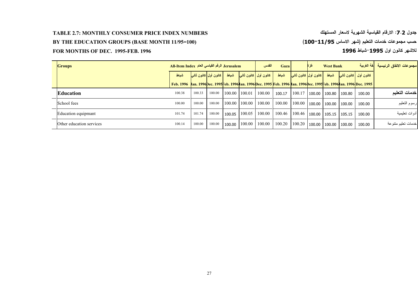# **TABLE 2.7: MONTHLY CONSUMER PRICE INDEX NUMBERS** BY THE EDUCATION GROUPS (BASE MONTH 11/95=100) FOR MONTHS OF DEC. 1995-FEB. 1996

| <b>Groups</b>            | Jerusalem الرقم القياسي العام All-Item Index                                                                            |                                      |        |      |                            |                         | غزة<br>القدس<br>Gaza                       |                                     |  | <b>West Bank</b>     | أفة الغربية                           | جموعات الانفاق الرئيسية |
|--------------------------|-------------------------------------------------------------------------------------------------------------------------|--------------------------------------|--------|------|----------------------------|-------------------------|--------------------------------------------|-------------------------------------|--|----------------------|---------------------------------------|-------------------------|
|                          | شباط                                                                                                                    | <mark>  كانون أول </mark> كانون ثاني |        | شباط |                            | كانون أولي   كانون ثاني | شباط                                       | <mark>  كانون أول</mark> كانون ثاني |  | شباط                 | . كانون أول <mark>  كانون ثاني</mark> |                         |
|                          | Feb. 1996 Jan. 1996 Dec. 1995 Feb. 1996 Jan. 1996 Dec. 1995 Feb. 1996 Jan. 1996 Dec. 1995 Feb. 1996 Jan. 1996 Dec. 1995 |                                      |        |      |                            |                         |                                            |                                     |  |                      |                                       |                         |
| <b>Education</b>         | 100.38                                                                                                                  | 100.33                               | 100.00 |      | $100.00$ $100.01$ $100.00$ |                         | 100.17                                     | 100.17                              |  | 100.00 100.80 100.80 | 100.00                                | فدمات التعليم           |
| School fees              | 100.00                                                                                                                  | 100.00                               | 100.00 |      | $100.00$ 100.00 100.00     |                         | 100.00   100.00   100.00   100.00   100.00 |                                     |  |                      | 100.00                                | سوم التعليم             |
| Education equipmant      | 101.74                                                                                                                  | 101.74                               | 100.00 |      |                            | $100.05$ 100.05 100.00  | 100.46 100.46 100.00 105.15 105.15         |                                     |  |                      | 100.00                                | دو ات تعليمية           |
| Other education services | 100.14                                                                                                                  | 100.00                               | 100.00 |      | 100.00 100.00 100.00       |                         | 100.20   100.20   100.00   100.00   100.00 |                                     |  |                      | 100.00                                | ندمات تعليم متنو عة     |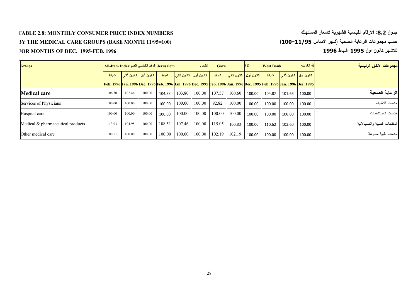# **TABLE 2.8: MONTHLY CONSUMER PRICE INDEX NUMBERS**

# 3Y THE MEDICAL CARE GROUPS (BASE MONTH 11/95=100)

# FOR MONTHS OF DEC. 1995-FEB. 1996

# جدول 8.2: الارقام القياسية الشهرية لاسعار المستهلك

حسب مجموعات الرعاية الصحية (شهر الاساس 11/95=100)

| <b>Groups</b>                     |        |        | Jerusalem الرقم القياسي العام All-Item Index                                                                            |        |        | القدس                  | Gaza   |                                       | غزا    | <b>West Bank</b> |                        | فة الغربية | مجموعات الانفاق الرئيسية     |
|-----------------------------------|--------|--------|-------------------------------------------------------------------------------------------------------------------------|--------|--------|------------------------|--------|---------------------------------------|--------|------------------|------------------------|------------|------------------------------|
|                                   | شباط   |        | كانون أول   كانون ثاني                                                                                                  | شباط   |        | كانون أول   كانون ثاني | شباط   | كانون أول <mark>  كانون ثاني  </mark> |        | شباط             | كانون أول   كانون ثاني |            |                              |
|                                   |        |        | Feb. 1996 Jan. 1996 Dec. 1995 Feb. 1996 Jan. 1996 Dec. 1995 Feb. 1996 Jan. 1996 Dec. 1995 Feb. 1996 Jan. 1996 Dec. 1995 |        |        |                        |        |                                       |        |                  |                        |            |                              |
| Medical care                      | 106.50 | 102.46 | 100.00                                                                                                                  | 104.33 | 103.80 | 100.00                 | 107.57 | 100.60                                | 100.00 | 104.87           | 101.65                 | 100.00     | الرعاية الصحية               |
| Services of Physicians            | 100.00 | 100.00 | 100.00                                                                                                                  | 100.00 | 100.00 | 100.00                 | 92.82  | 100.00                                | 100.00 | 100.00           | 100.00                 | 100.00     | خدمات الاطناء                |
| Hospital care                     | 100.00 | 100.00 | 100.00                                                                                                                  | 100.00 | 100.00 | 100.00                 | 100.00 | 100.00                                | 100.00 | 100.00           | 100.00                 | 100.00     | خدمات المستشفيات             |
| Medical & pharmaceutical products | 113.03 | 104.95 | 100.00                                                                                                                  | 108.51 | 107.46 | 100.00                 | 115.05 | 100.83                                | 100.00 | 110.62           | 103.60                 | 100.00     | المنتجات الطببة و الصبدلانبة |
| Other medical care                | 100.51 | 100.00 | 100.00                                                                                                                  | 100.00 | 100.00 | 100.00                 | 102.19 | 102.19                                | 100.00 | 100.00           | 100.00                 | 100.00     | خدمات طببة منتوعة            |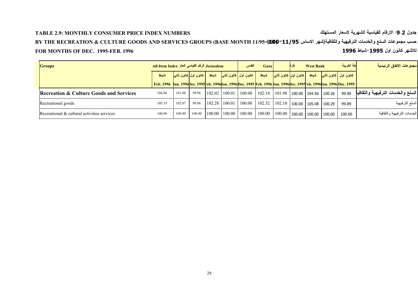### **TABLE 2.9: MONTHLY CONSUMER PRICE INDEX NUMBERS**

# جدول 9.2: الارقام القياسية الشهرية لاسعار المستهلك

#### حسب مجموعات السلع والخدمات الترفيهية والثقافية(شهر الاساس 11/95=1000 BY THE RECREATION & CULTURE GOODS AND SERVICES GROUPS (BASE MONTH 11/95= ب FOR MONTHS OF DEC. 1995-FEB. 1996 للاشهر كانون اول 1995–شباط 1996

| <b>Groups</b>                                      | Jerusalem الرقم القياسي العام All-Item Index                                                                           |                                     |        |  |  | القدس<br>Gaza                                             |                                              |                                            | فة الغربية<br>غزة<br><b>West Bank</b> |  |        |                                                     | مجموعات الانفاق الرئيسية           |
|----------------------------------------------------|------------------------------------------------------------------------------------------------------------------------|-------------------------------------|--------|--|--|-----------------------------------------------------------|----------------------------------------------|--------------------------------------------|---------------------------------------|--|--------|-----------------------------------------------------|------------------------------------|
|                                                    | شباط                                                                                                                   | <mark>۔ کانون اول کانون ثانی</mark> |        |  |  | <mark>  كانون أول   كانون ثانى </mark> شىباط              | شباط                                         | شباط   کانون اول <mark>  کانون ثانی</mark> |                                       |  |        | كانون أول <mark>  كان</mark> ون ثاني <mark>.</mark> |                                    |
|                                                    | <b>Feb. 1996 Jan. 1996Dec. 1995Feb. 1996Jan. 1996Dec. 1995 Feb. 1996 Jan. 1996Dec. 1995Feb. 1996Jan. 1996Dec. 1995</b> |                                     |        |  |  |                                                           |                                              |                                            |                                       |  |        |                                                     |                                    |
| <b>Recreation &amp; Culture Goods and Services</b> | 104.86                                                                                                                 | 101.88                              | 99.96  |  |  | $102.02$   100.01   100.00                                | 102.18   101.98   100.00   104.56   100.26 ' |                                            |                                       |  |        | 99.90                                               | السلع والخدمات الترفيهية والثقافيأ |
| Recreationel goods                                 | 105.35                                                                                                                 | 102.07                              | 99.96  |  |  | $102.28$ 100.01 100.00 102.32 102.10 100.00 105.08 100.29 |                                              |                                            |                                       |  |        | 99.89                                               | لسلع الترفيهية                     |
| Recreational & cultural activities services        | 100.00                                                                                                                 | 100.00                              | 100.00 |  |  | $100.00$   100.00   100.00                                | $100.00$ 100.00 100.00 100.00                |                                            |                                       |  | 100.00 | 100.00                                              | الخدمات النرفيهية والثقافية        |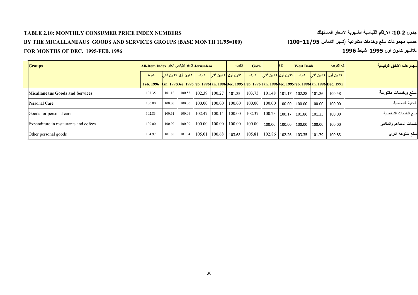# **TABLE 2.10: MONTHLY CONSUMER PRICE INDEX NUMBERS** BY THE MICALLANEAUS GOODS AND SERVICES GROUPS (BASE MONTH 11/95=100) FOR MONTHS OF DEC. 1995-FEB. 1996

جدول 10.2: الارقام القياسية الشهرية لاسعار المستهلك

حسب مجموعات سلع وخدمات متنوعية (شهر الاساس 11/95=100)

| <b>Groups</b>                          | Jerusalem الرقم القياسي العام All-Item Index                                                                      |                                                      |        |               |               | لقدس                                | Gaza                               |                                                            | غزكا          | <b>West Bank</b>     |        | فة الغربية                                | جموعات الانفاق الرئيسية   |
|----------------------------------------|-------------------------------------------------------------------------------------------------------------------|------------------------------------------------------|--------|---------------|---------------|-------------------------------------|------------------------------------|------------------------------------------------------------|---------------|----------------------|--------|-------------------------------------------|---------------------------|
|                                        | شباط                                                                                                              | - كانون أول <mark>-</mark> كانون ثاني <mark>.</mark> |        | شباط          |               | <mark>کانون اول کانون ثانی</mark> ا | شباط                               | <mark> </mark> كانون أول <mark>  كانون ثان<i>ى</i> </mark> |               |                      |        | كانون أول  كانون ثان <sub>ى</sub>   شىباط |                           |
|                                        | Feb. 1996 ∫an. 1996Dec. 1995Feb. 1996Jan. 1996 Dec. 1995 Feb. 1996 Jan. 1996Dec. 1995Feb. 1996Jan. 1996 Dec. 1995 |                                                      |        |               |               |                                     |                                    |                                                            |               |                      |        |                                           |                           |
| <b>Micallaneaus Goods and Services</b> | 103.35                                                                                                            | 101.12                                               | 100.58 | 102.39 100.27 |               | 101.25                              | 103.73 101.48 101.17 102.28 101.26 |                                                            |               |                      |        | 100.48                                    | سلع وخدمات متنوعة         |
| Personal Care                          | 100.00                                                                                                            | 100.00                                               | 100.00 | 100.00 100.00 |               | 100.00                              | 100.00                             | 100.00                                                     | 100.00 100.00 |                      | 100.00 | 100.00                                    | حنابة الشخصبة             |
| Goods for personal care                | 102.83                                                                                                            | 100.61                                               | 100.06 | 102.47 100.14 |               | 100.00                              | 102.37                             | 100.23                                                     |               | 100.17 101.86 101.23 |        | 100.00                                    | لمع الخدمات الشخصية       |
| Expenditure in restaurants and cofees  | 100.00                                                                                                            | 100.00                                               | 100.00 | 100.00 100.00 |               | 100.00                              | 100.00                             | 100.00                                                     | 100.00 100.00 |                      | 100.00 | 100.00                                    | فدمات المطاعم والمقاهي    |
| Other personal goods                   | 104.97                                                                                                            | 101.80                                               | 101.04 |               | 105.01 100.68 | 103.68                              | 105.81                             | 102.86                                                     |               | 102.26 103.35 101.79 |        | 100.83                                    | ىلىع متنوعة ا <b>خ</b> رى |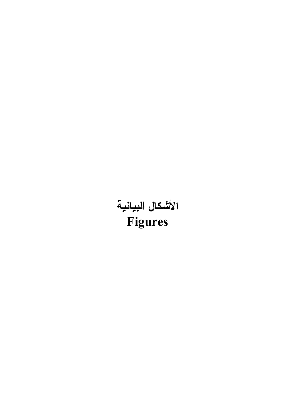الأشكال البيانية Figures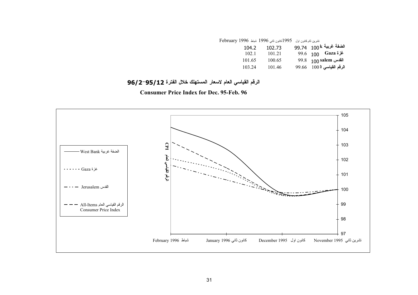تشرين ثانم كانون اول 1995 كانون ثاني 1996 شباط 1996 February 3

| الضفة غربية 1 <sub>00</sub> x 1 <sub>09.</sub> 74 p | 102.73 | 104.2  |
|-----------------------------------------------------|--------|--------|
| غزة Gaza 1 <sub>00</sub> Gaza                       | 101.21 | 102.1  |
| 99.8 100 salem                                      | 100.65 | 101.65 |
| الرقم القياسي ال 100 ـ 99.66                        | 101.46 | 103.24 |

# الرقم القياسي العام لاسعار المستهلك خلال الفترة 95/12-96/2-96



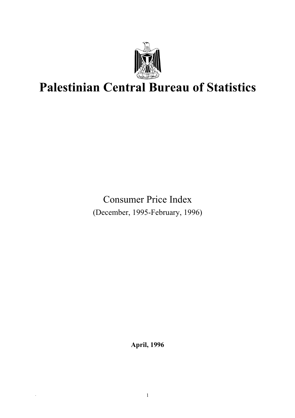

# **Palestinian Central Bureau of Statistics**

**Consumer Price Index** (December, 1995-February, 1996)

**April, 1996**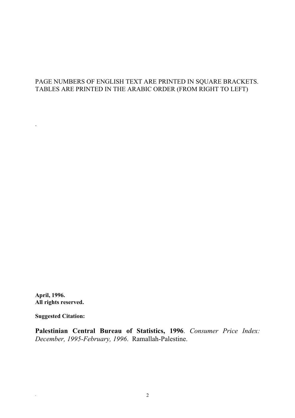# PAGE NUMBERS OF ENGLISH TEXT ARE PRINTED IN SQUARE BRACKETS. TABLES ARE PRINTED IN THE ARABIC ORDER (FROM RIGHT TO LEFT)

**April, 1996.** All rights reserved.

 $\ddot{\phantom{a}}$ 

**Suggested Citation:** 

 $\ddot{\phantom{a}}$ 

Palestinian Central Bureau of Statistics, 1996. Consumer Price Index: December, 1995-February, 1996. Ramallah-Palestine.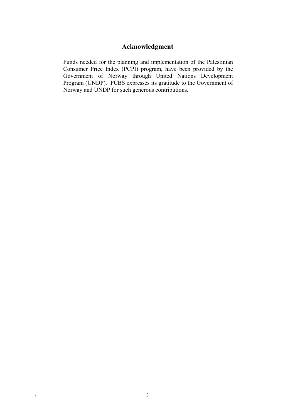# Acknowledgment

Funds needed for the planning and implementation of the Palestinian Consumer Price Index (PCPI) program, have been provided by the Government of Norway through United Nations Development Program (UNDP). PCBS expresses its gratitude to the Government of Norway and UNDP for such generous contributions.

 $\ddot{\phantom{a}}$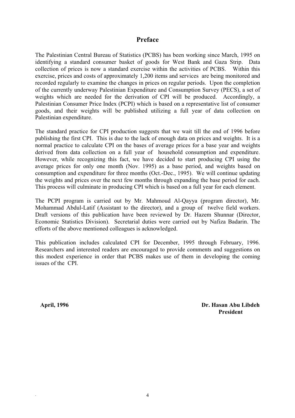# Preface

The Palestinian Central Bureau of Statistics (PCBS) has been working since March, 1995 on identifying a standard consumer basket of goods for West Bank and Gaza Strip. Data collection of prices is now a standard exercise within the activities of PCBS. Within this exercise, prices and costs of approximately 1,200 items and services are being monitored and recorded regularly to examine the changes in prices on regular periods. Upon the completion of the currently underway Palestinian Expenditure and Consumption Survey (PECS), a set of weights which are needed for the derivation of CPI will be produced. Accordingly, a Palestinian Consumer Price Index (PCPI) which is based on a representative list of consumer goods, and their weights will be published utilizing a full year of data collection on Palestinian expenditure.

The standard practice for CPI production suggests that we wait till the end of 1996 before publishing the first CPI. This is due to the lack of enough data on prices and weights. It is a normal practice to calculate CPI on the bases of average prices for a base year and weights derived from data collection on a full year of household consumption and expenditure. However, while recognizing this fact, we have decided to start producing CPI using the average prices for only one month (Nov. 1995) as a base period, and weights based on consumption and expenditure for three months (Oct.-Dec., 1995). We will continue updating the weights and prices over the next few months through expanding the base period for each. This process will culminate in producing CPI which is based on a full year for each element.

The PCPI program is carried out by Mr. Mahmoud Al-Qayya (program director), Mr. Mohammad Abdul-Latif (Assistant to the director), and a group of twelve field workers. Draft versions of this publication have been reviewed by Dr. Hazem Shunnar (Director, Economic Statistics Division). Secretarial duties were carried out by Nafiza Badarin. The efforts of the above mentioned colleagues is acknowledged.

This publication includes calculated CPI for December, 1995 through February, 1996. Researchers and interested readers are encouraged to provide comments and suggestions on this modest experience in order that PCBS makes use of them in developing the coming issues of the CPI.

**April, 1996** 

Dr. Hasan Abu Libdeh **President**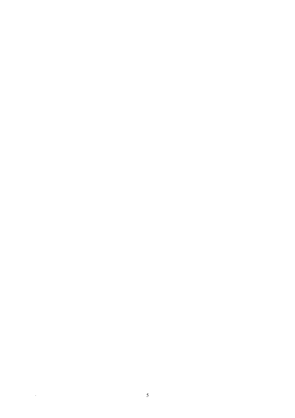$\ddot{\phantom{0}}$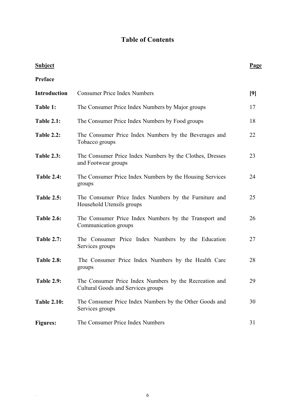# **Table of Contents**

| <b>Subject</b>      |                                                                                                     | Page |
|---------------------|-----------------------------------------------------------------------------------------------------|------|
| Preface             |                                                                                                     |      |
| <b>Introduction</b> | <b>Consumer Price Index Numbers</b>                                                                 | [9]  |
| Table 1:            | The Consumer Price Index Numbers by Major groups                                                    | 17   |
| <b>Table 2.1:</b>   | The Consumer Price Index Numbers by Food groups                                                     | 18   |
| <b>Table 2.2:</b>   | The Consumer Price Index Numbers by the Beverages and<br>Tobacco groups                             | 22   |
| <b>Table 2.3:</b>   | The Consumer Price Index Numbers by the Clothes, Dresses<br>and Footwear groups                     | 23   |
| Table 2.4:          | The Consumer Price Index Numbers by the Housing Services<br>groups                                  | 24   |
| <b>Table 2.5:</b>   | The Consumer Price Index Numbers by the Furniture and<br>Household Utensils groups                  | 25   |
| <b>Table 2.6:</b>   | The Consumer Price Index Numbers by the Transport and<br>Communication groups                       | 26   |
| <b>Table 2.7:</b>   | The Consumer Price Index Numbers by the Education<br>Services groups                                | 27   |
| <b>Table 2.8:</b>   | The Consumer Price Index Numbers by the Health Care<br>groups                                       | 28   |
| Table 2.9:          | The Consumer Price Index Numbers by the Recreation and<br><b>Cultural Goods and Services groups</b> | 29   |
| <b>Table 2.10:</b>  | The Consumer Price Index Numbers by the Other Goods and<br>Services groups                          | 30   |
| <b>Figures:</b>     | The Consumer Price Index Numbers                                                                    | 31   |

 $\mathcal{A}$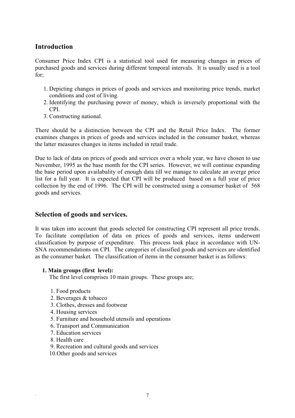# **Introduction**

Consumer Price Index CPI is a statistical tool used for measuring changes in prices of purchased goods and services during different temporal intervals. It is usually used is a tool for:

- 1. Depicting changes in prices of goods and services and monitoring price trends, market conditions and cost of living.
- 2. Identifying the purchasing power of money, which is inversely proportional with the CPL.
- 3. Constructing national.

There should be a distinction between the CPI and the Retail Price Index. The former examines changes in prices of goods and services included in the consumer basket, whereas the latter measures changes in items included in retail trade.

Due to lack of data on prices of goods and services over a whole year, we have chosen to use November, 1995 as the base month for the CPI series. However, we will continue expanding the base period upon availabality of enough data till we manage to calculate an averge price list for a full year. It is expected that CPI will be produced based on a full year of price collection by the end of 1996. The CPI will be constructed using a consumer basket of 568 goods and services.

# Selection of goods and services.

It was taken into account that goods selected for constructing CPI represent all price trends. To facilitate compilation of data on prices of goods and services, items underwent classification by purpose of expenditure. This process took place in accordance with UN-SNA recommendations on CPI. The categories of classified goods and services are identified as the consumer basket. The classification of items in the consumer basket is as follows:

### 1. Main groups (first level):

The first level comprises 10 main groups. These groups are;

- 1. Food products
- 2. Beverages & tobacco
- 3. Clothes, dresses and footwear
- 4. Housing services
- 5. Furniture and household utensils and operations
- 6. Transport and Communication
- 7. Education services
- 8. Health care
- 9. Recreation and cultural goods and services
- 10.0ther goods and services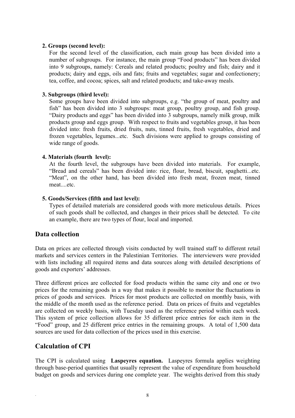# 2. Groups (second level):

For the second level of the classification, each main group has been divided into a number of subgroups. For instance, the main group "Food products" has been divided into 9 subgroups, namely: Cereals and related products; poultry and fish; dairy and it products; dairy and eggs, oils and fats; fruits and vegetables; sugar and confectionery; tea, coffee, and cocoa; spices, salt and related products; and take-away meals.

# 3. Subgroups (third level):

Some groups have been divided into subgroups, e.g. "the group of meat, poultry and fish" has been divided into 3 subgroups: meat group, poultry group, and fish group. "Dairy products and eggs" has been divided into 3 subgroups, namely milk group, milk products group and eggs group. With respect to fruits and vegetables group, it has been divided into: fresh fruits, dried fruits, nuts, tinned fruits, fresh vegetables, dried and frozen vegetables, legumes...etc. Such divisions were applied to groups consisting of wide range of goods.

# 4. Materials (fourth level):

At the fourth level, the subgroups have been divided into materials. For example, "Bread and cereals" has been divided into: rice, flour, bread, biscuit, spaghetti...etc. "Meat", on the other hand, has been divided into fresh meat, frozen meat, tinned meat....etc.

# 5. Goods/Services (fifth and last level):

Types of detailed materials are considered goods with more meticulous details. Prices of such goods shall be collected, and changes in their prices shall be detected. To cite an example, there are two types of flour, local and imported.

# Data collection

Data on prices are collected through visits conducted by well trained staff to different retail markets and services centers in the Palestinian Territories. The interviewers were provided with lists including all required items and data sources along with detailed descriptions of goods and exporters' addresses.

Three different prices are collected for food products within the same city and one or two prices for the remaining goods in a way that makes it possible to monitor the fluctuations in prices of goods and services. Prices for most products are collected on monthly basis, with the middle of the month used as the reference period. Data on prices of fruits and vegetables are collected on weekly basis, with Tuesday used as the reference period within each week. This system of price collection allows for 35 different price entries for each item in the "Food" group, and 25 different price entries in the remaining groups. A total of 1,500 data sources are used for data collection of the prices used in this exercise.

# **Calculation of CPI**

The CPI is calculated using Laspeyres equation. Laspeyres formula applies weighting through base-period quantities that usually represent the value of expenditure from household budget on goods and services during one complete year. The weights derived from this study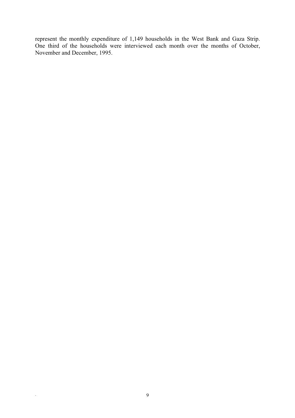represent the monthly expenditure of 1,149 households in the West Bank and Gaza Strip.<br>One third of the households were interviewed each month over the months of October, November and December, 1995.

 $\ddot{\phantom{0}}$